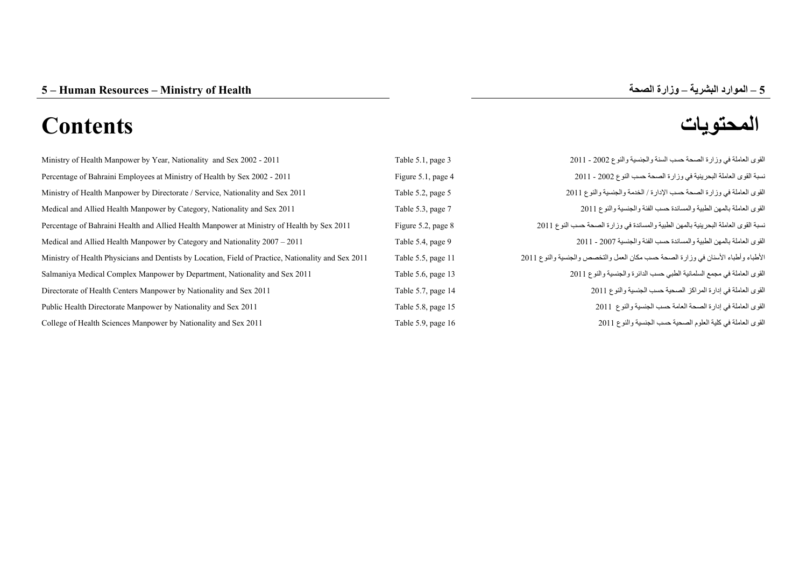# **المحتويات Contents**

| Table 5.1, page 3    | القوى العاملة في وزارة الصحة حسب السنة والجنسية والنوع 2002 - 2011                 |
|----------------------|------------------------------------------------------------------------------------|
| Figure 5.1, page 4   | نسبة القوى العاملة البحرينية في وزارة الصحة حسب النوع 2002 - 2011                  |
| Table 5.2, page 5    | القوى العاملة في وزارة الصحة حسب الإدارة / الخدمة والجنسية والنوع 2011             |
| Table 5.3, page 7    | القوى العاملة بالمهن الطبية والمساندة حسب الفئة والجنسية والنوع 2011               |
| Figure 5.2, page 8   | نسبة القوى العاملة البحرينية بالمهن الطبية والمساندة في وزارة الصحة حسب النوع 2011 |
| Table 5.4, page 9    | القوى العاملة بالمهن الطبية والمساندة حسب الفئة والجنسية 2007 - 2011               |
| Table 5.5, page 11   | الأطباء وأطباء الأسنان في وزارة الصحة حسب مكان العمل والتخصص والجنسية والنوع 2011  |
| Table 5.6, page 13   | القوى العاملة في مجمع السلمانية الطبي حسب الدائرة والجنسية والنوع 2011             |
| Table 5.7, page 14   | القوى العاملة في إدارة المراكز الصحية حسب الجنسية والنوع 2011                      |
| Table 5.8, page 15   | القوى العاملة في إدارة الصحة العامة حسب الجنسية والنوع 2011                        |
| Table 5.9, page $16$ | القوى العاملة في كلية العلوم الصحية حسب الجنسية والنوع 2011                        |
|                      |                                                                                    |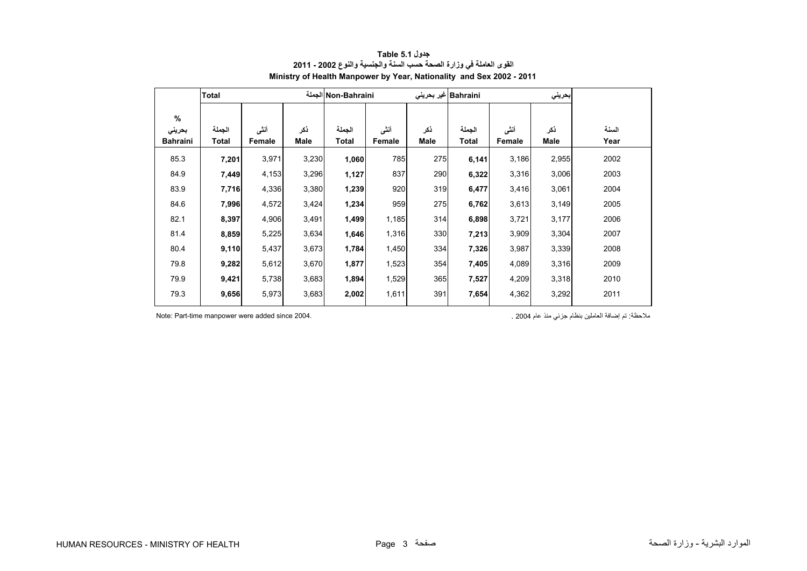<span id="page-1-0"></span>

|                 | <b>Total</b> |        |       | Non-Bahraini الجملة |        |             | Bahraini غیر بحرینی |        | بحريني |       |
|-----------------|--------------|--------|-------|---------------------|--------|-------------|---------------------|--------|--------|-------|
| $\%$            |              |        |       |                     |        |             |                     |        |        |       |
| بحريني          | الجملة       | أنشى   | ذكر   | الجملة              | أننى   | ذكر         | الجملة              | أنشى   | ذكر    | السنة |
| <b>Bahraini</b> | Total        | Female | Male  | Total               | Female | <b>Male</b> | Total               | Female | Male   | Year  |
| 85.3            | 7,201        | 3,971  | 3,230 | 1,060               | 785    | 275         | 6,141               | 3,186  | 2,955  | 2002  |
| 84.9            | 7,449        | 4,153  | 3,296 | 1,127               | 837    | 290         | 6,322               | 3,316  | 3,006  | 2003  |
| 83.9            | 7,716        | 4,336  | 3,380 | 1,239               | 920    | 319         | 6,477               | 3,416  | 3,061  | 2004  |
| 84.6            | 7,996        | 4,572  | 3,424 | 1,234               | 959    | 275         | 6,762               | 3,613  | 3,149  | 2005  |
| 82.1            | 8,397        | 4,906  | 3,491 | 1,499               | 1,185  | 314         | 6,898               | 3,721  | 3,177  | 2006  |
| 81.4            | 8,859        | 5,225  | 3,634 | 1,646               | 1,316  | 330         | 7,213               | 3,909  | 3,304  | 2007  |
| 80.4            | 9,110        | 5,437  | 3,673 | 1,784               | 1,450  | 334         | 7,326               | 3,987  | 3,339  | 2008  |
| 79.8            | 9,282        | 5,612  | 3,670 | 1,877               | 1,523  | 354         | 7,405               | 4,089  | 3,316  | 2009  |
| 79.9            | 9,421        | 5,738  | 3,683 | 1,894               | 1,529  | 365         | 7,527               | 4,209  | 3,318  | 2010  |
| 79.3            | 9,656        | 5,973  | 3,683 | 2,002               | 1,611  | 391         | 7,654               | 4,362  | 3,292  | 2011  |

# **جدول 5.1 Table القوى العاملة في وزارة الصحة حسب السنة والجنسية والنوع 2002 - 2011 Ministry of Health Manpower by Year, Nationality and Sex 2002 - 2011**

مالحظة: تم إضافة العاملين بنظام جزئي منذ عام 2004 . 2004. since added were manpower time-Part :Note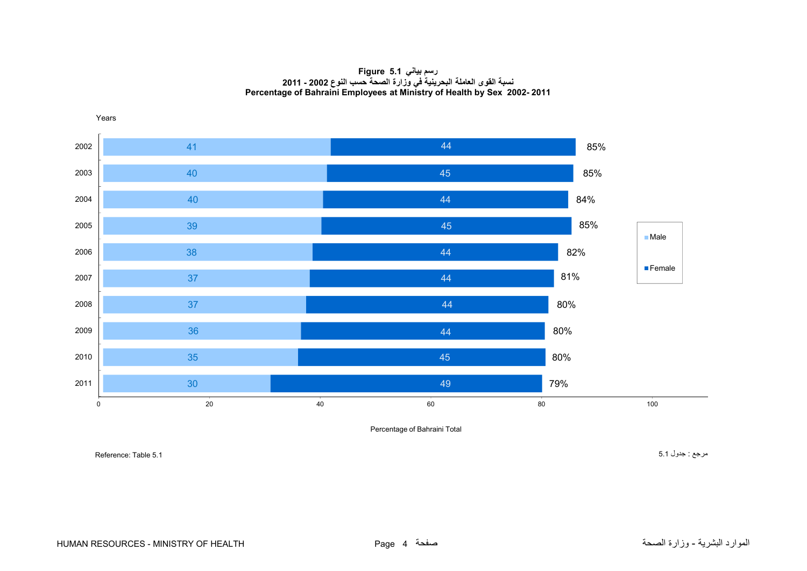## **رسم بياني 5.1 Figure نسبة القوى العاملة البحرينية في وزارة الصحة حسب النوع <sup>2002</sup> - Percentage of Bahraini Employees at Ministry of Health by Sex 2002- 2011**

<span id="page-2-0"></span>

Percentage of Bahraini Total

مرجع : جدول 5.1 5.1 5.1 5.1 Table 5.1 Steference: Table 5.1 Steference: Table 5.1 Steference: Table 5.1 Stefer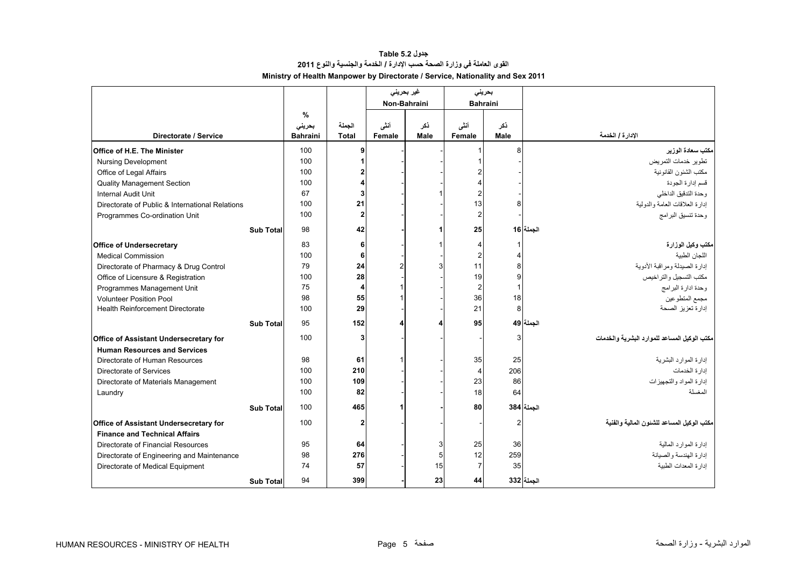# **جدول 5.2 Table القوى العاملة في وزارة الصحة حسب اإلدارة / الخدمة والجنسية والنوع <sup>2011</sup> Ministry of Health Manpower by Directorate / Service, Nationality and Sex 2011**

<span id="page-3-0"></span>

|                                                 |                  |                           |                        | غیر بحرینی     |                    | بحريني         |                 |                                              |
|-------------------------------------------------|------------------|---------------------------|------------------------|----------------|--------------------|----------------|-----------------|----------------------------------------------|
|                                                 |                  |                           |                        | Non-Bahraini   |                    |                | <b>Bahraini</b> |                                              |
|                                                 |                  | %                         |                        |                |                    |                |                 |                                              |
| Directorate / Service                           |                  | بحريني<br><b>Bahraini</b> | الجملة<br><b>Total</b> | أنشى<br>Female | ذکر<br><b>Male</b> | أنشى<br>Female | ذکر<br>Male     | الإدارة / الخدمة                             |
|                                                 |                  |                           |                        |                |                    |                |                 |                                              |
| Office of H.E. The Minister                     |                  | 100                       | 9                      |                |                    |                | 8               | مكتب سعادة الوزير                            |
| <b>Nursing Development</b>                      |                  | 100                       |                        |                |                    |                |                 | تطوير خدمات التمريض                          |
| Office of Legal Affairs                         |                  | 100                       |                        |                |                    |                |                 | مكتب الشئون القانونية                        |
| <b>Quality Management Section</b>               |                  | 100                       |                        |                |                    |                |                 | قسم إدارة الجودة                             |
| <b>Internal Audit Unit</b>                      |                  | 67                        |                        |                |                    | 2              |                 | وحدة التدقيق الداخلي                         |
| Directorate of Public & International Relations |                  | 100                       | 21                     |                |                    | 13             | 8               | إدارة العلاقات العامة والدولية               |
| Programmes Co-ordination Unit                   |                  | 100                       | $\overline{2}$         |                |                    | $\overline{c}$ |                 | وحدة تنسيق البرامج                           |
|                                                 | Sub Total        | 98                        | 42                     |                |                    | 25             |                 | الجملة 16                                    |
| <b>Office of Undersecretary</b>                 |                  | 83                        | 6                      |                |                    | 4              | 1               | مكتب وكيل الوزارة                            |
| <b>Medical Commission</b>                       |                  | 100                       | 6                      |                |                    | $\overline{2}$ | $\overline{4}$  | اللجان الطببة                                |
| Directorate of Pharmacy & Drug Control          |                  | 79                        | 24                     | $\overline{2}$ |                    | 11             | 8               | إدارة الصيدلة ومراقبة الأدوية                |
| Office of Licensure & Registration              |                  | 100                       | 28                     |                |                    | 19             | 9               | مكتب التسجيل والتر اخيص                      |
| Programmes Management Unit                      |                  | 75                        | 4                      |                |                    | $\overline{2}$ | $\overline{1}$  | وحدة ادارة البرامج                           |
| <b>Volunteer Position Pool</b>                  |                  | 98                        | 55                     |                |                    | 36             | 18              | مجمع المتطوعين                               |
| <b>Health Reinforcement Directorate</b>         |                  | 100                       | 29                     |                |                    | 21             | 8               | إدارة تعزيز الصحة                            |
|                                                 | <b>Sub Total</b> | 95                        | 152                    |                |                    | 95             |                 | الجملة 49                                    |
| Office of Assistant Undersecretary for          |                  | 100                       | 3                      |                |                    |                | 3               | مكتب الوكيل المساعد للموارد البشرية والخدمات |
| <b>Human Resources and Services</b>             |                  |                           |                        |                |                    |                |                 |                                              |
| Directorate of Human Resources                  |                  | 98                        | 61                     |                |                    | 35             | 25              | إدارة الموارد البشرية                        |
| Directorate of Services                         |                  | 100                       | 210                    |                |                    | $\overline{4}$ | 206             | إدار ة الخدمات                               |
| Directorate of Materials Management             |                  | 100                       | 109                    |                |                    | 23             | 86              | إدارة المواد والتجهيزات                      |
| Laundry                                         |                  | 100                       | 82                     |                |                    | 18             | 64              | المغسلة                                      |
|                                                 | Sub Total        | 100                       | 465                    | 1              |                    | 80             |                 | الجملة 384                                   |
| Office of Assistant Undersecretary for          |                  | 100                       | $\mathbf{2}$           |                |                    |                | $\overline{2}$  | مكتب الوكيل المساعد للشئون المالية والفنية   |
| <b>Finance and Technical Affairs</b>            |                  |                           |                        |                |                    |                |                 |                                              |
| Directorate of Financial Resources              |                  | 95                        | 64                     |                | 3                  | 25             | 36              | ادار ة المو ار د المالية                     |
| Directorate of Engineering and Maintenance      |                  | 98                        | 276                    |                | 5                  | 12             | 259             | إدارة الهندسة والصيانة                       |
| Directorate of Medical Equipment                |                  | 74                        | 57                     |                | 15                 | $\overline{7}$ | 35              | إدار ة المعدات الطببة                        |
|                                                 | <b>Sub Total</b> | 94                        | 399                    |                | 23                 | 44             |                 | الجملة 332                                   |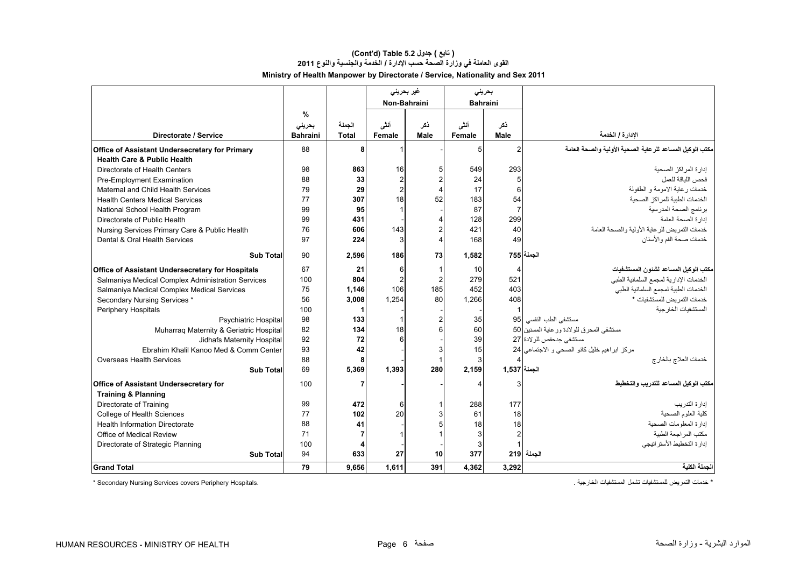# **Ministry of Health Manpower by Directorate / Service, Nationality and Sex 2011 (Cont'd) Table 5.2 جدول ) تابع( القوى العاملة في وزارة الصحة حسب اإلدارة / الخدمة والجنسية والنوع <sup>2011</sup>**

|                                                         |                 |              | غیر بحرینی     |      | بحرينى          |                |                                                           |
|---------------------------------------------------------|-----------------|--------------|----------------|------|-----------------|----------------|-----------------------------------------------------------|
|                                                         |                 |              | Non-Bahraini   |      | <b>Bahraini</b> |                |                                                           |
|                                                         | %               |              |                |      |                 |                |                                                           |
|                                                         | بحريني          | الجملة       | أنشى           | نكر  | أنشى            | ذكر            |                                                           |
| Directorate / Service                                   | <b>Bahraini</b> | <b>Total</b> | Female         | Male | Female          | Male           | الإدارة / الخدمة                                          |
| Office of Assistant Undersecretary for Primary          | 88              | 8            | 1              |      | 5 <sup>1</sup>  | $\overline{2}$ | مكتب الوكيل المساعد للر عاية الصحية الأولية والصحة العامة |
| <b>Health Care &amp; Public Health</b>                  |                 |              |                |      |                 |                |                                                           |
| Directorate of Health Centers                           | 98              | 863          | 16             |      | 549             | 293            | إدار ة المر اكز الصحية                                    |
| Pre-Employment Examination                              | 88              | 33           | $\overline{c}$ |      | 24              | 5              | فحص اللباقة للعمل                                         |
| Maternal and Child Health Services                      | 79              | 29           | $\overline{2}$ |      | 17              | 6              | خدمات ر عاية الامومة و الطفولة                            |
| <b>Health Centers Medical Services</b>                  | 77              | 307          | 18             | 52   | 183             | 54             | الخدمات الطبية للمر اكز الصحية                            |
| National School Health Program                          | 99              | 95           | $\mathbf{1}$   |      | 87              | $\overline{7}$ | برنامج الصحة المدرسية                                     |
| Directorate of Public Health                            | 99              | 431          |                |      | 128             | 299            | إدارة الصحة العامة                                        |
| Nursing Services Primary Care & Public Health           | 76              | 606          | 143            |      | 421             | 40             | خدمات التمر يض للر عاية الأولية والصحة العامة             |
| Dental & Oral Health Services                           | 97              | 224          | 3              |      | 168             | 49             | خدمات صحة الفم و الأسنان                                  |
| <b>Sub Total</b>                                        | 90              | 2.596        | 186            | 73   | 1.582           |                | الجملة 755                                                |
| <b>Office of Assistant Undersecretary for Hospitals</b> | 67              | 21           | 6              |      | 10              | 4              | مكتب الوكيل المساعد لشئون المستشفيات                      |
| Salmaniya Medical Complex Administration Services       | 100             | 804          | $\overline{2}$ |      | 279             | 521            | الخدمات الإدارية لمجمع السلمانية الطبي                    |
| Salmaniya Medical Complex Medical Services              | 75              | 1,146        | 106            | 185  | 452             | 403            | الخدمات الطبية لمجمع السلمانية الطبي                      |
| Secondary Nursing Services *                            | 56              | 3.008        | 1.254          | 80   | 1.266           | 408            | خدمات التمر بض للمستشفيات *                               |
| Periphery Hospitals                                     | 100             |              |                |      |                 |                | المستشفيات الخار جبة                                      |
| <b>Psychiatric Hospital</b>                             | 98              | 133          | $\mathbf{1}$   |      | 35              | 95             | مستشفى الطب النفسي                                        |
| Muharraq Maternity & Geriatric Hospital                 | 82              | 134          | 18             |      | 60              |                | مستشفى المحرق للو لادة ور عاية المسنين 50                 |
| Jidhafs Maternity Hospital                              | 92              | 72           | 6              |      | 39              |                | مستشفى جدحفص للو لادة 27                                  |
| Ebrahim Khalil Kanoo Med & Comm Center                  | 93              | 42           |                |      | 15              |                | مركز ابراهيم خليل كانو الصحى و الاجتماعي 24               |
| <b>Overseas Health Services</b>                         | 88              | 8            |                |      | 3               |                | خدمات العلاج بالخارج                                      |
| <b>Sub Total</b>                                        | 69              | 5,369        | 1,393          | 280  | 2,159           | الجملة   1,537 |                                                           |
| <b>Office of Assistant Undersecretary for</b>           | 100             |              |                |      |                 | З              | مكتب الوكيل المساعد للتدريب والتخطيط                      |
| <b>Training &amp; Planning</b>                          |                 |              |                |      |                 |                |                                                           |
| Directorate of Training                                 | 99              | 472          | 6              |      | 288             | 177            | إدار ة التدريب                                            |
| College of Health Sciences                              | 77              | 102          | 20             |      | 61              | 18             | كلبة العلوم الصحبة                                        |
| <b>Health Information Directorate</b>                   | 88              | 41           |                |      | 18              | 18             | إدارة المعلومات الصحية                                    |
| Office of Medical Review                                | 71              |              |                |      |                 | $\overline{2}$ | مكتب المراجعة الطبية                                      |
| Directorate of Strategic Planning                       | 100             |              |                |      |                 |                | إدار ة التخطيط الأستر اتيجي                               |
| <b>Sub Total</b>                                        | 94              | 633          | 27             | 10   | 377             |                | الجملة 219                                                |
| <b>Grand Total</b>                                      | 79              | 9.656        | 1.611          | 391  | 4.362           | 3.292          | الحملة الكلبة                                             |

\* Secondary Nursing Services covers Periphery Hospitals.

\* خدمات التمريض للمستشفيات تشمل المستشفيات الخارجية .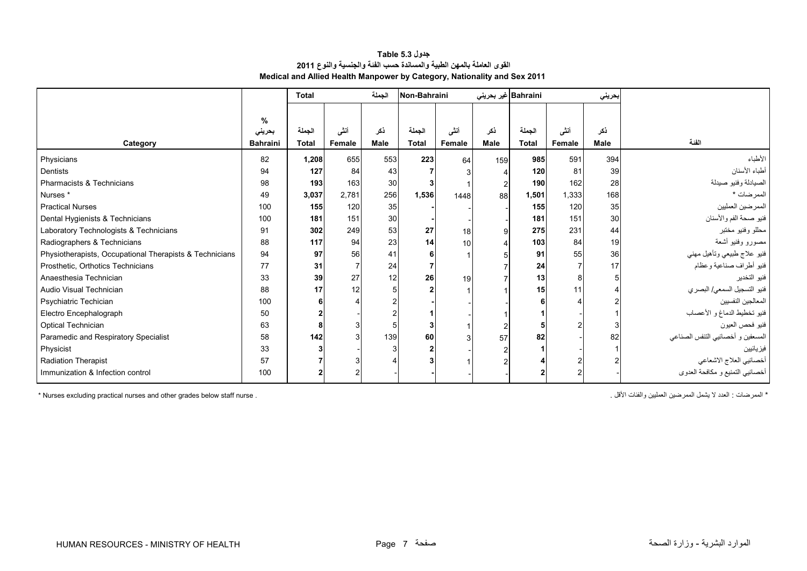| <b>Table 5.3</b> جدول                                                    |  |  |  |  |  |  |  |  |  |
|--------------------------------------------------------------------------|--|--|--|--|--|--|--|--|--|
| القوى العاملة بالمهن الطبية والمساندة حسب الفنة والجنسية والنوع 2011     |  |  |  |  |  |  |  |  |  |
| Medical and Allied Health Manpower by Category, Nationality and Sex 2011 |  |  |  |  |  |  |  |  |  |

<span id="page-5-0"></span>

|                                                         |                 | <b>Total</b> |        | الجملة      | Non-Bahraini |        |             | Bahraini غير بحرين <i>ي</i> |        | بحريني      |                                   |
|---------------------------------------------------------|-----------------|--------------|--------|-------------|--------------|--------|-------------|-----------------------------|--------|-------------|-----------------------------------|
|                                                         |                 |              |        |             |              |        |             |                             |        |             |                                   |
|                                                         | %               |              |        |             |              |        |             |                             |        |             |                                   |
|                                                         | بحريني          | الجملة       | أننى   | ذكر         | الجملة       | أنشى   | نكر         | الجملة                      | أنشى   | ذكر         |                                   |
| Category                                                | <b>Bahraini</b> | <b>Total</b> | Female | <b>Male</b> | <b>Total</b> | Female | <b>Male</b> | <b>Total</b>                | Female | <b>Male</b> | الفئة                             |
| Physicians                                              | 82              | 1,208        | 655    | 553         | 223          | 64     | 159         | 985                         | 591    | 394         | الأطباء                           |
| <b>Dentists</b>                                         | 94              | 127          | 84     | 43          |              |        |             | 120                         | 81     | 39          | أطباء الأسنان                     |
| Pharmacists & Technicians                               | 98              | 193          | 163    | 30          |              |        |             | 190                         | 162    | 28          | الصيادلة وفنيو صيدلة              |
| Nurses <sup>*</sup>                                     | 49              | 3,037        | 2.781  | 256         | 1,536        | 1448   | 88          | 1,501                       | 1,333  | 168         | الممرضات *                        |
| <b>Practical Nurses</b>                                 | 100             | 155          | 120    | 35          |              |        |             | 155                         | 120    | 35          | الممر ضين العمليين                |
| Dental Hygienists & Technicians                         | 100             | 181          | 151    | 30          |              |        |             | 181                         | 151    | 30          | فنيو صحة الفم والأسنان            |
| Laboratory Technologists & Technicians                  | 91              | 302          | 249    | 53          | 27           | 18     |             | 275                         | 231    | 44          | محللو وفنيو مختبر                 |
| Radiographers & Technicians                             | 88              | 117          | 94     | 23          | 14           | 10     |             | 103                         | 84     | 19          | مصورو وفنيو أشعة                  |
| Physiotherapists, Occupational Therapists & Technicians | 94              | 97           | 56     | 41          |              |        |             | 91                          | 55     | 36          | فنبو علاج طبيعي وتأهيل مهني       |
| Prosthetic, Orthotics Technicians                       | 77              | 31           |        | 24          |              |        |             | 24                          |        | 17          | فنيو أطراف صناعية وعظام           |
| Anaesthesia Technician                                  | 33              | 39           | 27     | 12          | 26           | 19     |             | 13                          |        |             | فنيو التخدير                      |
| Audio Visual Technician                                 | 88              | 17           | 12     |             |              |        |             | 15                          | 11     |             | فنيو التسجيل السمعي/ البصري       |
| Psychiatric Techician                                   | 100             |              |        |             |              |        |             |                             |        |             | المعالجين النفسيين                |
| Electro Encephalograph                                  | 50              |              |        |             |              |        |             |                             |        |             | فنيو تخطيط الدماغ و الأعصاب       |
| Optical Technician                                      | 63              |              |        |             |              |        |             |                             |        |             | فنيو فحص العيون                   |
| Paramedic and Respiratory Specialist                    | 58              | 142          |        | 139         | 60           |        | 57          | 82                          |        | 82          | المسعفين و أخصائيي التنفس الصناعي |
| Physicist                                               | 33              |              |        |             |              |        |             |                             |        |             | فيز يائيين                        |
| <b>Radiation Therapist</b>                              | 57              |              |        |             |              |        |             |                             |        |             | أخصائيي العلاج الاشعاعي           |
| Immunization & Infection control                        | 100             |              |        |             |              |        |             |                             |        |             | أخصائيي التمنيع و مكافحة العدوى   |

\* Nurses excluding practical nurses and other grades below staff nurse . . األقل والفئات العمليين الممرضين يشمل ال العدد : الممرضات\*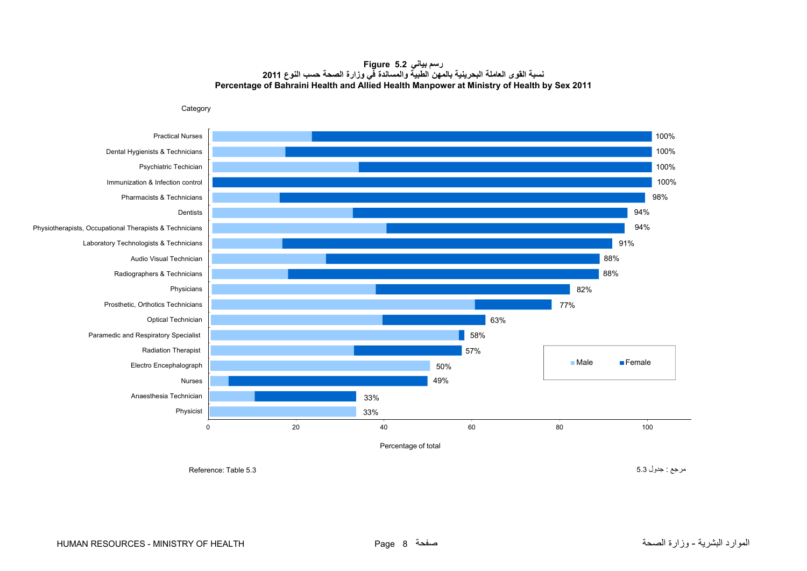#### **رسم بياني 5.2 Figure نسبة القوى العاملة البحرينية بالمھن الطبية والمساندة في وزارة الصحة حسب النوع <sup>2011</sup> Percentage of Bahraini Health and Allied Health Manpower at Ministry of Health by Sex 2011**

<span id="page-6-0"></span>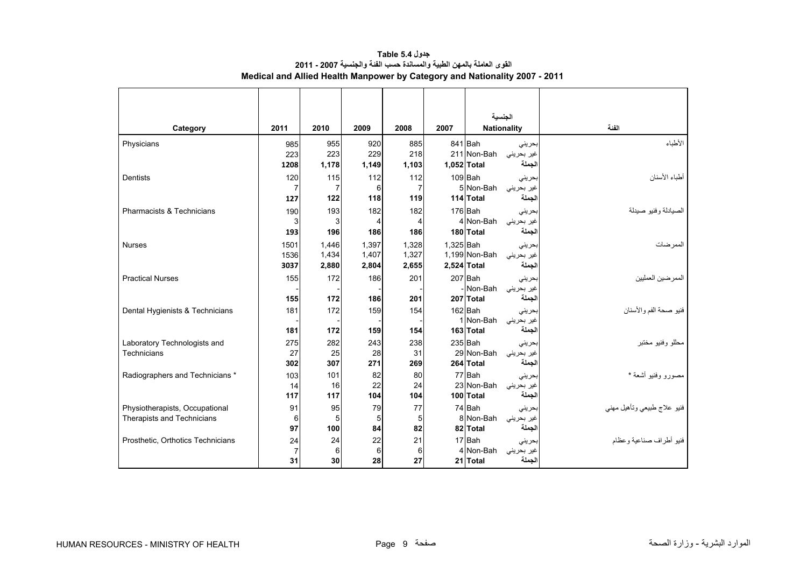<span id="page-7-0"></span>

|                                   |                |       |       |                |           |               | الجنسية            |                             |
|-----------------------------------|----------------|-------|-------|----------------|-----------|---------------|--------------------|-----------------------------|
| Category                          | 2011           | 2010  | 2009  | 2008           | 2007      |               | <b>Nationality</b> | الفئة                       |
| Physicians                        | 985            | 955   | 920   | 885            |           | 841 Bah       | بحرينى             | الأطباء                     |
|                                   | 223            | 223   | 229   | 218            |           | 211 Non-Bah   | غیر بحرینی         |                             |
|                                   | 1208           | 1,178 | 1,149 | 1,103          |           | 1,052 Total   | الجملة             |                             |
| <b>Dentists</b>                   | 120            | 115   | 112   | 112            |           | 109 Bah       | بحرينى             | أطباء الأسنان               |
|                                   | 7              | 7     | 6     | $\overline{7}$ |           | 5 Non-Bah     | غير بحريني         |                             |
|                                   | 127            | 122   | 118   | 119            |           | 114 Total     | الجملة             |                             |
| Pharmacists & Technicians         | 190            | 193   | 182   | 182            |           | 176 Bah       | بحريني             | الصيادلة وفنيو صيدلة        |
|                                   | 3              | 3     | 4     | 4              |           | 4 Non-Bah     | غیر بحرینی         |                             |
|                                   | 193            | 196   | 186   | 186            |           | 180 Total     | الجملة             |                             |
| <b>Nurses</b>                     | 1501           | 1,446 | 1,397 | 1,328          | 1,325 Bah |               | بحرينى             | الممرضات                    |
|                                   | 1536           | 1,434 | 1,407 | 1,327          |           | 1,199 Non-Bah | غير بحرينى         |                             |
|                                   | 3037           | 2,880 | 2,804 | 2,655          |           | 2,524 Total   | الجملة             |                             |
| <b>Practical Nurses</b>           | 155            | 172   | 186   | 201            |           | 207 Bah       | بحرينى             | الممر ضين العمليين          |
|                                   |                |       |       |                |           | - Non-Bah     | غير بحريني         |                             |
|                                   | 155            | 172   | 186   | 201            |           | 207 Total     | الحملة             |                             |
| Dental Hygienists & Technicians   | 181            | 172   | 159   | 154            |           | 162 Bah       | بحرينى             | فنيو صحة الفم والأسنان      |
|                                   |                |       |       |                |           | 1 Non-Bah     | غیر بحرینی         |                             |
|                                   | 181            | 172   | 159   | 154            |           | 163 Total     | الجملة             |                             |
| Laboratory Technologists and      | 275            | 282   | 243   | 238            |           | $235$ $Bah$   | بحرينى             | محللو وفنيو مختبر           |
| Technicians                       | 27             | 25    | 28    | 31             |           | 29 Non-Bah    | غير بحرينى         |                             |
|                                   | 302            | 307   | 271   | 269            |           | 264 Total     | الجملة             |                             |
| Radiographers and Technicians *   | 103            | 101   | 82    | 80             |           | 77 Bah        | بحرينى             | مصورو وفنيو أشعة *          |
|                                   | 14             | 16    | 22    | 24             |           | 23 Non-Bah    | غیر بحرینی         |                             |
|                                   | 117            | 117   | 104   | 104            |           | 100 Total     | الجملة             |                             |
| Physiotherapists, Occupational    | 91             | 95    | 79    | 77             |           | 74 Bah        | بحريني             | فنبو علاج طبيعي وتأهيل مهنى |
| <b>Therapists and Technicians</b> | 6              | 5     | 5     | 5              |           | 8 Non-Bah     | غير بحرينى         |                             |
|                                   | 97             | 100   | 84    | 82             |           | 82 Total      | الجملة             |                             |
| Prosthetic, Orthotics Technicians | 24             | 24    | 22    | 21             |           | 17 Bah        | بحرينى             | فنيو أطر اف صناعية و عظام   |
|                                   | $\overline{7}$ | 6     | 6     | 6              |           | 4 Non-Bah     | غير بحرينى         |                             |
|                                   | 31             | 30    | 28    | 27             |           | 21 Total      | الجملة             |                             |

**جدول 5.4 Table القوى العاملة بالمھن الطبية والمساندة حسب الفئة والجنسية 2007 - 2011 Medical and Allied Health Manpower by Category and Nationality 2007 - 2011**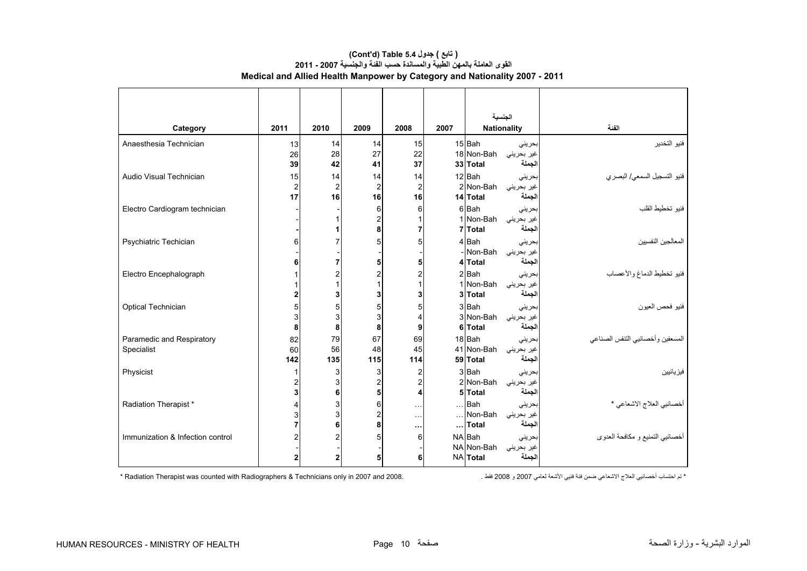|                                         |                            |                                     |                                                |                                       |          | الجنسية                                                                   |                                  |
|-----------------------------------------|----------------------------|-------------------------------------|------------------------------------------------|---------------------------------------|----------|---------------------------------------------------------------------------|----------------------------------|
| Category                                | 2011                       | 2010                                | 2009                                           | 2008                                  | 2007     | <b>Nationality</b>                                                        | الفنة                            |
| Anaesthesia Technician                  | 13<br>26<br>39             | 14<br>28<br>42                      | 14<br>27<br>41                                 | 15<br>22<br>37                        |          | 15 Bah<br>بحرينى<br>18 Non-Bah<br>غیر بحرینی<br>33 Total<br>الجملة        | فنيو التخدير                     |
| Audio Visual Technician                 | 15<br>$\overline{2}$<br>17 | 14<br>$\overline{2}$<br>16          | 14<br>$\overline{c}$<br>16                     | 14<br>$\overline{\mathbf{c}}$<br>16   |          | 12 Bah<br>بحرينى<br>2 Non-Bah<br>غیر بحرینی<br>14 Total<br>لجملة          | فنيو التسجيل السمعي/ البصر ي     |
| Electro Cardiogram technician           |                            | 1<br>1                              | 6<br>$\overline{\mathbf{c}}$<br>8              | 6<br>1<br>$\overline{7}$              |          | 6 Bah<br>بحريني<br>غير بحريني Non-Bah<br>7 Total<br>لجملة                 | فنيو تخطيط القلب                 |
| Psychiatric Techician                   | 6<br>6                     | $\overline{7}$<br>$\overline{7}$    | 5<br>5                                         | 5<br>5                                |          | 4 Bah<br>بحرينى<br>-INon-Bah<br>غیر بحرینی<br>الجملة<br>4 Total           | المعالجين النفسيين               |
| Electro Encephalograph                  |                            | $\overline{2}$<br>$\mathbf{1}$<br>3 | $\overline{\mathbf{c}}$<br>$\overline{1}$<br>3 | 2<br>1<br>3                           |          | 2Bah<br>بحرينى<br>1 Non-Bah<br>غیر بحرینی<br>الجملة<br>3 Total            | فنيو تخطيط الدماغ والأعصاب       |
| Optical Technician                      | 5<br>3<br>8                | 5<br>3<br>8                         | 5<br>3<br>8                                    | 5<br>4<br>9                           |          | 3 Bah<br>بحريني<br>3 Non-Bah<br>غير بحريني<br>6 Total<br>الجملة           | فنيو فحص العيون                  |
| Paramedic and Respiratory<br>Specialist | 82<br>60<br>142            | 79<br>56<br>135                     | 67<br>48<br>115                                | 69<br>45<br>114                       |          | 18 Bah<br>بحرينى<br>41 Non-Bah<br>غير بحريني<br>لجملة<br>59 Total         | المسعفين وأخصائيي التنفس الصناعي |
| Physicist                               | 2<br>3                     | 3<br>3<br>6                         | 3<br>$\overline{c}$<br>5                       | $\overline{c}$<br>$\overline{c}$<br>4 |          | 3 Bah<br>بحرينى<br>2 Non-Bah<br>غير بحريني<br>5 Total<br>الجملة           | فيز يائيين                       |
| Radiation Therapist *                   | 4                          | 3<br>$\ensuremath{\mathsf{3}}$<br>6 | 6<br>$\overline{c}$<br>8                       | $\ldots$<br>$\bar{z}$ .<br>$\cdots$   | $\cdots$ | $\ldots$ Bah<br>بحرينى<br>Non-Bah<br>غیر بحرینی<br>الجملة<br><b>Total</b> | أخصائيي العلاج الاشعاعي *        |
| Immunization & Infection control        | $\overline{2}$             | $\overline{2}$<br>$\mathbf{2}$      | 5<br>5                                         | 6<br>6                                |          | NA Bah<br>بحرينى<br>NA Non-Bah<br>غیر بحرینی<br>الجملة<br>NA Total        | أخصائيي التمنيع و مكافحة العدوى  |

## **Medical and Allied Health Manpower by Category and Nationality 2007 - 2011 (Cont'd) Table 5.4 جدول ) تابع( القوى العاملة بالمھن الطبية والمساندة حسب الفئة والجنسية 2007 - 2011**

\* تم احتساب أخصائيي العالج االشعاعي ضمن فئة فنيي األشعة لعامي 2007 و 2008 فقط . 2008. and 2007 in only Technicians & Radiographers with counted was Therapist Radiation\*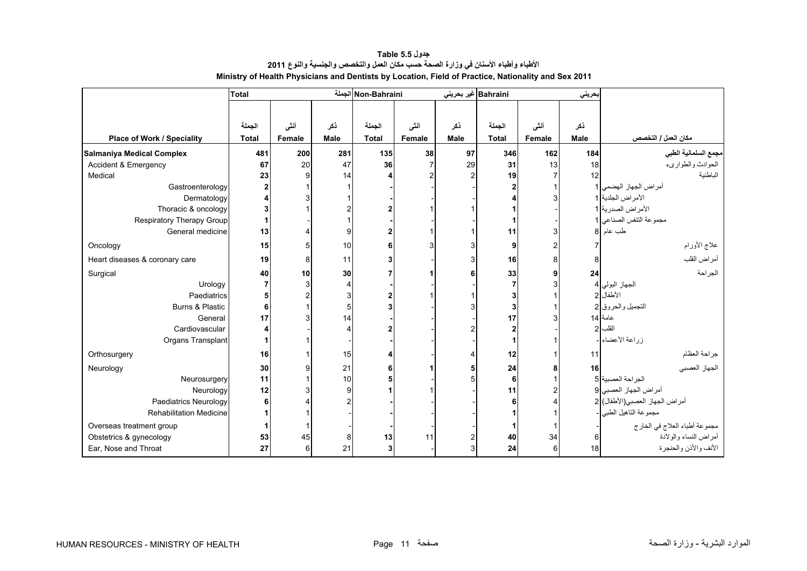<span id="page-9-0"></span>

|                                 | <b>Total</b> |        |                | Non-Bahraini الجملة |                |      | Bahraini غیر بحرینی |                | بحريني      |                                |
|---------------------------------|--------------|--------|----------------|---------------------|----------------|------|---------------------|----------------|-------------|--------------------------------|
|                                 |              |        |                |                     |                |      |                     |                |             |                                |
|                                 | الجملة       | أنشى   | نكر            | الجملة              | أننى           | نكر  | الجملة              | أنشى           | نكر         |                                |
| Place of Work / Speciality      | <b>Total</b> | Female | <b>Male</b>    | <b>Total</b>        | Female         | Male | <b>Total</b>        | Female         | <b>Male</b> | مكان العمل / التخصص            |
| Salmaniya Medical Complex       | 481          | 200    | 281            | 135                 | 38             | 97   | 346                 | 162            | 184         | مجمع السلمانية الطبي           |
| <b>Accident &amp; Emergency</b> | 67           | 20     | 47             | 36                  | $\overline{7}$ | 29   | 31                  | 13             | 18          | الحوادث والطواريء              |
| Medical                         | 23           |        | 14             |                     |                |      | 19                  |                |             | الباطنية                       |
| Gastroenterology                |              |        |                |                     |                |      |                     |                |             | أمر اض الجهاز الهضمي           |
| Dermatology                     |              |        |                |                     |                |      |                     |                |             | الأمراض الجلدية 1              |
| Thoracic & oncology             |              |        |                |                     |                |      |                     |                |             | الأمراض الصدرية 1              |
| Respiratory Therapy Group       |              |        |                |                     |                |      |                     |                |             | مجموعة التنفس الصناعي          |
| General medicine                | 13           |        | 9              |                     |                |      | 11                  |                | 81          | طب عام                         |
| Oncology                        | 15           |        | 10             | 6                   | 3              |      | 9                   | $\overline{2}$ |             | علاج الأورام                   |
| Heart diseases & coronary care  | 19           |        | 11             |                     |                |      | 16                  | 8              |             | أمراض القلب                    |
| Surgical                        | 40           | 10     | 30             |                     |                |      | 33                  |                | 24          | الجراحة                        |
| Urology                         |              |        | 4              |                     |                |      |                     |                |             | الجهاز البولي 4                |
| Paediatrics                     | 5            |        | 3              |                     |                |      |                     |                |             | الأطفال 2                      |
| Burns & Plastic                 | 6            |        | 5              |                     |                |      |                     |                |             | التجميل والحروق 2              |
| General                         | 17           |        | 14             |                     |                |      | 17                  |                |             | عامة 14                        |
| Cardiovascular                  |              |        | $\overline{4}$ |                     |                |      |                     |                |             | القلب                          |
| Organs Transplant               |              |        |                |                     |                |      |                     |                |             | زراعة الأعضاء                  |
| Orthosurgery                    | 16           |        | 15             |                     |                |      | 12                  |                | 11          | جراحة العظام                   |
| Neurology                       | 30           |        | 21             | 6                   |                |      | 24                  |                | 16          | الجهاز العصبي                  |
| Neurosurgery                    | 11           |        | 10             |                     |                |      | 6                   |                |             | الجراحة العصبية 5              |
| Neurology                       | 12           |        | 9              |                     |                |      | 11                  |                |             | أمراض الجهاز العصبي 9          |
| <b>Paediatrics Neurology</b>    | 6            |        | $\overline{c}$ |                     |                |      |                     |                |             | أمراض الجهاز العصبي(الأطفال) 2 |
| <b>Rehabilitation Medicine</b>  |              |        |                |                     |                |      |                     |                |             | مجموعة الناهيل الطبي  -        |
| Overseas treatment group        |              |        |                |                     |                |      |                     |                |             | مجموعة أطباء العلاج في الخارج  |
| Obstetrics & gynecology         | 53           | 45     | 8              | 13                  | 11             |      | 40                  | 34             |             | أمراض النساء والولادة          |
| Ear, Nose and Throat            | 27           | 6      | 21             |                     |                |      | 24                  | 6              | 18          | الأنف والأذن والحنجرة          |

**جدول 5.5 Table األطباء وأطباء األسنان في وزارة الصحة حسب مكان العمل والتخصص والجنسية والنوع <sup>2011</sup> Ministry of Health Physicians and Dentists by Location, Field of Practice, Nationality and Sex 2011**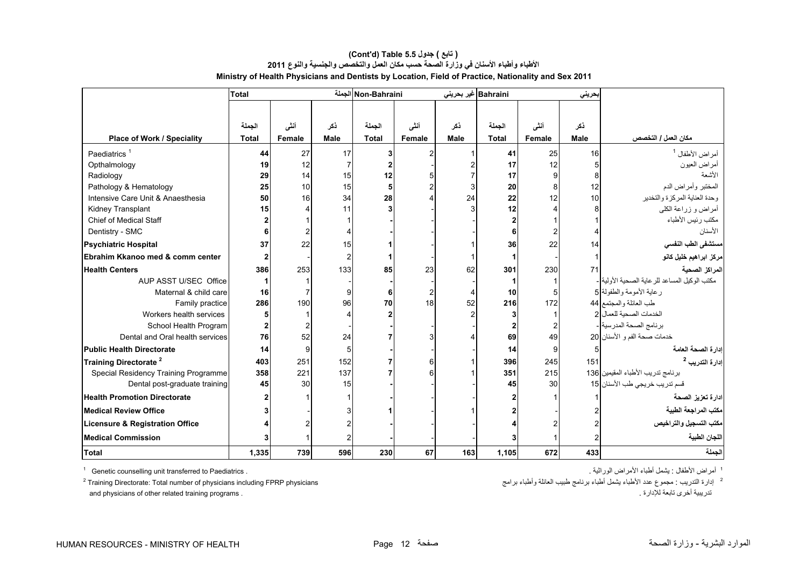|                                            | <b>Total</b> |        |                | Non-Bahraini الجملة |               |             | Bahraini غیر بحرینی |               | بحريني      |                                                            |
|--------------------------------------------|--------------|--------|----------------|---------------------|---------------|-------------|---------------------|---------------|-------------|------------------------------------------------------------|
|                                            |              |        |                |                     |               |             |                     |               |             |                                                            |
|                                            |              |        |                |                     |               |             |                     |               |             |                                                            |
|                                            | الجملة       | أنشى   | ذكر            | الجملة              | أنشى          | ذکر         | الجملة              | أنشى          | ذكر         |                                                            |
| Place of Work / Speciality                 | <b>Total</b> | Female | <b>Male</b>    | <b>Total</b>        | <b>Female</b> | <b>Male</b> | <b>Total</b>        | <b>Female</b> | <b>Male</b> | مكان العمل / التخصص                                        |
| Paediatrics <sup>1</sup>                   | 44           | 27     | 17             |                     |               |             | 41                  | 25            | 16          | أمر اض الأطفال <sup>1</sup>                                |
| Opthalmology                               | 19           | 12     | 7              |                     |               |             | 17                  | 12            |             | أمراض العيون                                               |
| Radiology                                  | 29           | 14     | 15             | 12                  |               |             | 17                  | 9             |             | الأشعة                                                     |
| Pathology & Hematology                     | 25           | 10     | 15             |                     |               |             | 20                  | 8             | 12          | المختبر وأمراض الدم                                        |
| Intensive Care Unit & Anaesthesia          | 50           | 16     | 34             | 28                  |               | 24          | 22                  | 12            | 10          | وحدة العناية المركزة والتخدير                              |
| Kidney Transplant                          | 15           |        | 11             |                     |               |             | 12                  |               |             | أمراض و زراعة الكلي                                        |
| <b>Chief of Medical Staff</b>              |              |        |                |                     |               |             |                     |               |             | مكتب رئيس الأطباء                                          |
| Dentistry - SMC                            |              |        |                |                     |               |             | 6                   |               |             | الأسنان                                                    |
| <b>Psychiatric Hospital</b>                | 37           | 22     | 15             |                     |               |             | 36                  | 22            | 14          | سنتشفى الطب النفسي                                         |
| Ebrahim Kkanoo med & comm center           |              |        | $\overline{c}$ |                     |               |             |                     |               |             | مركز ابراهيم خليل كانو                                     |
| <b>Health Centers</b>                      | 386          | 253    | 133            | 85                  | 23            | 62          | 301                 | 230           | 71          | المراكز الصحية                                             |
| AUP ASST U/SEC Office                      |              |        |                |                     |               |             |                     |               |             | مكتب الوكيل المساعد للر عاية الصحية الأولية <mark>.</mark> |
| Maternal & child care                      | 16           |        | 9              | 6                   | 2             |             | 10                  | 5             |             | رعاية الأمومة والطفولة 5                                   |
| Family practice                            | 286          | 190    | 96             | 70                  | 18            | 52          | 216                 | 172           |             | طب العائلة والمجتمع 44                                     |
| Workers health services                    |              |        | 4              |                     |               |             | 3                   |               |             | الخدمات الصحية للعمال                                      |
| School Health Program                      |              |        |                |                     |               |             | 2                   |               |             | برنامج الصحة المدرسية -                                    |
| Dental and Oral health services            | 76           | 52     | 24             |                     | 3             |             | 69                  | 49            |             | خدمات صحة الفم و الأسنان 20                                |
| <b>Public Health Directorate</b>           | 14           | 9      | 5              |                     |               |             | 14                  | 9             | 5           | ادار ة الصحة العامة                                        |
| Training Directorate <sup>2</sup>          | 403          | 251    | 152            |                     | 6             |             | 396                 | 245           | 151         | إدارة التدريب <sup>2</sup>                                 |
| Special Residency Training Programme       | 358          | 221    | 137            |                     |               |             | 351                 | 215           |             | برنامج تدريب الأطباء المقيمين  136                         |
| Dental post-graduate training              | 45           | 30     | 15             |                     |               |             | 45                  | 30            |             | قسم تدريب خريجي طب الأسنان 15                              |
| <b>Health Promotion Directorate</b>        |              |        |                |                     |               |             |                     |               |             | ادارة تعزيز الصحة                                          |
| <b>Medical Review Office</b>               |              |        |                |                     |               |             |                     |               |             | مكتب المراجعة الطبية                                       |
| <b>Licensure &amp; Registration Office</b> |              |        |                |                     |               |             |                     |               |             | مكتب التسجيل والتر اخيص                                    |
| <b>Medical Commission</b>                  |              |        |                |                     |               |             |                     |               |             | اللجان الطبية                                              |
| <b>Total</b>                               | 1,335        | 739    | 596            | 230                 | 67            | 163         | 1,105               | 672           | 433         | الجملة                                                     |

## **Ministry of Health Physicians and Dentists by Location, Field of Practice, Nationality and Sex 2011 (Cont'd) Table 5.5 جدول ) تابع( األطباء وأطباء األسنان في وزارة الصحة حسب مكان العمل والتخصص والجنسية والنوع <sup>2011</sup>**

<sup>1</sup> Genetic counselling unit transferred to Paediatrics .

 $2$  Training Directorate: Total number of physicians including FPRP physicians and physicians of other related training programs . . لإلدارة تابعة أخرى تدريبية

<sup>1</sup> أمر اض الأطفال : يشمل أطباء الأمر اض الور اثبة .

ء<br>2- إدارة التدريب : مجموع عدد الأطباء يثسل أطباء برنامج طبيب العائلة وأطباء برامج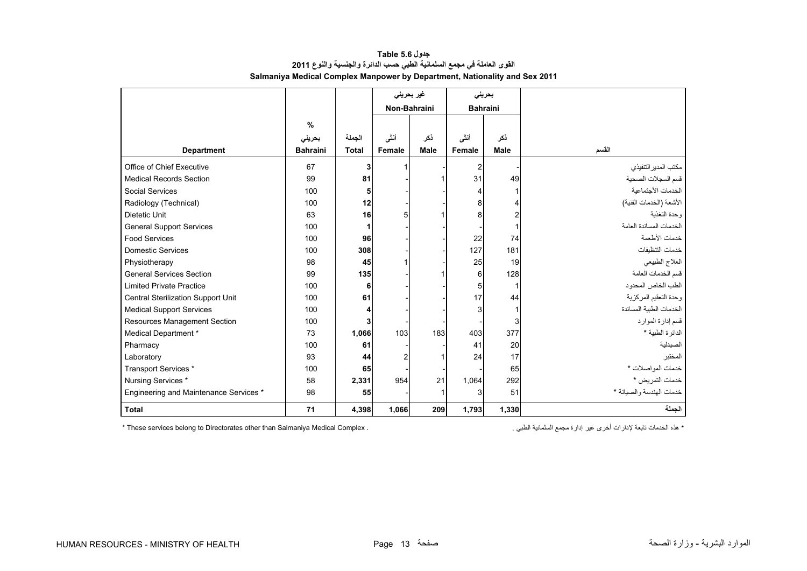| جدول Table 5.6                                                             |
|----------------------------------------------------------------------------|
| القوى العاملة في مجمع السلمانية الطبي حسب الدائرة والجنسية والنوع 2011     |
| Salmaniya Medical Complex Manpower by Department, Nationality and Sex 2011 |

<span id="page-11-0"></span>

|                                        |                 |              |              | غیر بحرینی  |                 | بحريني      |                          |
|----------------------------------------|-----------------|--------------|--------------|-------------|-----------------|-------------|--------------------------|
|                                        |                 |              | Non-Bahraini |             | <b>Bahraini</b> |             |                          |
|                                        | $\frac{0}{0}$   |              |              |             |                 |             |                          |
|                                        | بحريني          | الجملة       | أننى         | ذكر         | أنشى            | ذكر         |                          |
| <b>Department</b>                      | <b>Bahraini</b> | <b>Total</b> | Female       | <b>Male</b> | Female          | <b>Male</b> | القسم                    |
| Office of Chief Executive              | 67              | 3            |              |             | 2               |             | مكتب المدير التنفيذي     |
| <b>Medical Records Section</b>         | 99              | 81           |              |             | 31              | 49          | قسم السجلات الصحية       |
| Social Services                        | 100             | 5            |              |             |                 |             | الخدمات الأجتماعية       |
| Radiology (Technical)                  | 100             | 12           |              |             | 8               |             | الأشعة (الخدمات الفنية)  |
| Dietetic Unit                          | 63              | 16           | 5            |             | 8               |             | وحدة التغذبة             |
| <b>General Support Services</b>        | 100             |              |              |             |                 |             | الخدمات المساندة العامة  |
| <b>Food Services</b>                   | 100             | 96           |              |             | 22              | 74          | خدمات الأطعمة            |
| Domestic Services                      | 100             | 308          |              |             | 127             | 181         | خدمات التنظيفات          |
| Physiotherapy                          | 98              | 45           |              |             | 25              | 19          | العلاج الطبيعي           |
| <b>General Services Section</b>        | 99              | 135          |              |             | 6               | 128         | قسم الخدمات العامة       |
| <b>Limited Private Practice</b>        | 100             | 6            |              |             | 5               |             | الطب الخاص المحدود       |
| Central Sterilization Support Unit     | 100             | 61           |              |             | 17              | 44          | وحدة التعقيم المركزية    |
| <b>Medical Support Services</b>        | 100             |              |              |             |                 |             | الخدمات الطبية المساندة  |
| Resources Management Section           | 100             |              |              |             |                 | 3           | قسم إدارة الموارد        |
| Medical Department *                   | 73              | 1,066        | 103          | 183         | 403             | 377         | الدائر ة الطبية *        |
| Pharmacy                               | 100             | 61           |              |             | 41              | 20          | الصيدلية                 |
| Laboratory                             | 93              | 44           |              | 1           | 24              | 17          | المختبر                  |
| Transport Services *                   | 100             | 65           |              |             |                 | 65          | خدمات المواصلات *        |
| Nursing Services *                     | 58              | 2,331        | 954          | 21          | 1,064           | 292         | خدمات التمريض *          |
| Engineering and Maintenance Services * | 98              | 55           |              | 1           | 3               | 51          | خدمات الهندسة والصيانة * |
| <b>Total</b>                           | 71              | 4,398        | 1,066        | 209         | 1,793           | 1,330       | الجملة                   |

\* These services belong to Directorates other than Salmaniya Medical Complex .

\* ھذه الخدمات تابعة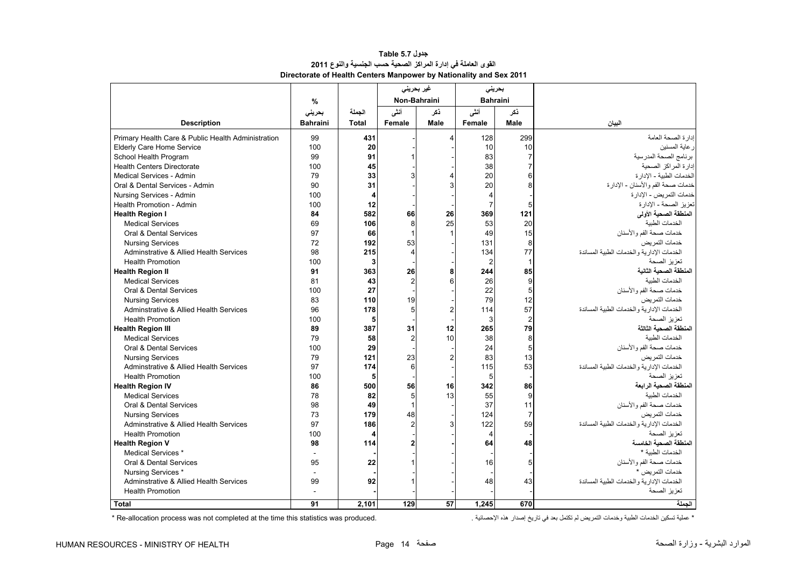<span id="page-12-0"></span>

|                                                    |                 |        | غیر بحرینی     |                       | بحرينى          |                |                                             |
|----------------------------------------------------|-----------------|--------|----------------|-----------------------|-----------------|----------------|---------------------------------------------|
|                                                    | %               |        | Non-Bahraini   |                       | <b>Bahraini</b> |                |                                             |
|                                                    | بحرينى          | الحملة | أنشى           | ڏکر                   | أنشى<br>ڏکر     |                |                                             |
| <b>Description</b>                                 | <b>Bahraini</b> | Total  | Female         | Male                  | Female          | Male           | البيان                                      |
| Primary Health Care & Public Health Administration | 99              | 431    |                | $\boldsymbol{\Delta}$ | 128             | 299            | إدارة الصحة العامة                          |
| <b>Elderly Care Home Service</b>                   | 100             | 20     |                |                       | 10              | 10             | ر عابة المسنين                              |
| School Health Program                              | 99              | 91     |                |                       | 83              | $\overline{7}$ | برنامج الصحة المدرسية                       |
| <b>Health Centers Directorate</b>                  | 100             | 45     |                |                       | 38              |                | إدارة المراكز الصحية                        |
| Medical Services - Admin                           | 79              | 33     | 3              |                       | 20              | 6              | الخدمات الطبية - الإدار ة                   |
| Oral & Dental Services - Admin                     | 90              | 31     |                | 3                     | 20              | 8              | خدمات صحة الفم والأسنان - الإدارة           |
| Nursing Services - Admin                           | 100             | 4      |                |                       | 4               |                | خدمات التمر يض - الإدار ة                   |
| Health Promotion - Admin                           | 100             | 12     |                |                       | $\overline{7}$  | 5              | تعزيز الصحة - الإدار ة                      |
| <b>Health Region I</b>                             | 84              | 582    | 66             | 26                    | 369             | 121            | المنطقة الصحية الأولى                       |
| <b>Medical Services</b>                            | 69              | 106    | 8              | 25                    | 53              | 20             | الخدمات الطببة                              |
| Oral & Dental Services                             | 97              | 66     | 1              |                       | 49              | 15             | خدمات صحة الفم و الأسنان                    |
| <b>Nursing Services</b>                            | 72              | 192    | 53             |                       | 131             | 8              | خدمات التمر بض                              |
| Adminstrative & Allied Health Services             | 98              | 215    | $\overline{4}$ |                       | 134             | 77             | الخدمات الادار بة و الخدمات الطببة المساندة |
| <b>Health Promotion</b>                            | 100             | 3      |                |                       | $\overline{2}$  | $\mathbf{1}$   | تعزيز الصحة                                 |
| <b>Health Region II</b>                            | 91              | 363    | 26             | 8                     | 244             | 85             | المنطقة الصحية الثانية                      |
| <b>Medical Services</b>                            | 81              | 43     | $\overline{2}$ | 6                     | 26              | 9              | الخدمات الطنبة                              |
| Oral & Dental Services                             | 100             | 27     |                |                       | 22              | 5              | خدمات صحة الفم والأسنان                     |
| <b>Nursing Services</b>                            | 83              | 110    | 19             |                       | 79              | 12             | خدمات التمر بض                              |
| Adminstrative & Allied Health Services             | 96              | 178    | 5              | $\overline{2}$        | 114             | 57             | الخدمات الإدار بة و الخدمات الطببة المساندة |
| <b>Health Promotion</b>                            | 100             | 5      |                |                       | 3               | $\overline{2}$ | تعزيز الصحة                                 |
| <b>Health Region III</b>                           | 89              | 387    | 31             | 12                    | 265             | 79             | المنطقة الصحبة الثالثة                      |
| <b>Medical Services</b>                            | 79              | 58     | $\overline{2}$ | 10                    | 38              | 8              | الخدمات الطنبة                              |
| Oral & Dental Services                             | 100             | 29     |                |                       | 24              | 5              | خدمات صحة الفم والأسنان                     |
| <b>Nursing Services</b>                            | 79              | 121    | 23             | $\overline{2}$        | 83              | 13             | خدمات التمر بض                              |
| Adminstrative & Allied Health Services             | 97              | 174    | 6              |                       | 115             | 53             | الخدمات الإدارية والخدمات الطبية المساندة   |
| <b>Health Promotion</b>                            | 100             | 5      |                |                       | 5               |                | تعزبز الصحة                                 |
| <b>Health Region IV</b>                            | 86              | 500    | 56             | 16                    | 342             | 86             | المنطقة الصحية الر ابعة                     |
| <b>Medical Services</b>                            | 78              | 82     | 5              | 13                    | 55              | 9              | الخدمات الطببة                              |
| Oral & Dental Services                             | 98              | 49     | $\overline{1}$ |                       | 37              | 11             | خدمات صحة الفم والأسنان                     |
| <b>Nursing Services</b>                            | 73              | 179    | 48             |                       | 124             | $\overline{7}$ | خدمات التمر بض                              |
| Adminstrative & Allied Health Services             | 97              | 186    | $\overline{2}$ | 3                     | 122             | 59             | الخدمات الادار بة و الخدمات الطببة المساندة |
| <b>Health Promotion</b>                            | 100             | 4      |                |                       | 4               |                | تعزيز الصحة                                 |
| <b>Health Region V</b>                             | 98              | 114    | $\overline{2}$ |                       | 64              | 48             | المنطقة الصحبة الخامسة                      |
| Medical Services *                                 | $\omega$        |        |                |                       |                 |                | الخدمات الطنبة *                            |
| Oral & Dental Services                             | 95              | 22     |                |                       | 16              | 5              | خدمات صحة الفم و الأسنان                    |
| Nursing Services *                                 | $\sim$          |        |                |                       |                 |                | خدمات الثمر بض *                            |
| Adminstrative & Allied Health Services             | 99              | 92     |                |                       | 48              | 43             | الخدمات الإدارية والخدمات الطبية المساندة   |
| <b>Health Promotion</b>                            | $\overline{a}$  |        |                |                       |                 |                | تعزيز الصحة                                 |
| Total                                              | 91              | 2.101  | 129            | 57                    | 1.245           | 670            | الحملة                                      |

## **جدول 5.7 Table القوى العاملة في إدارة المراكز الصحية حسب الجنسية والنوع <sup>2011</sup> Directorate of Health Centers Manpower by Nationality and Sex 2011**

\* عملية تسكين الخدمات الطبية وخدمات التمريض لم تكتمل بعد في تاريخ إصدار هذه الإحصائية . .<br>\* عملية تسكين الخدمات الطبية وخدمات التمريض لم تكتمل بعد في تاريخ إصدار هذه الإحصائية .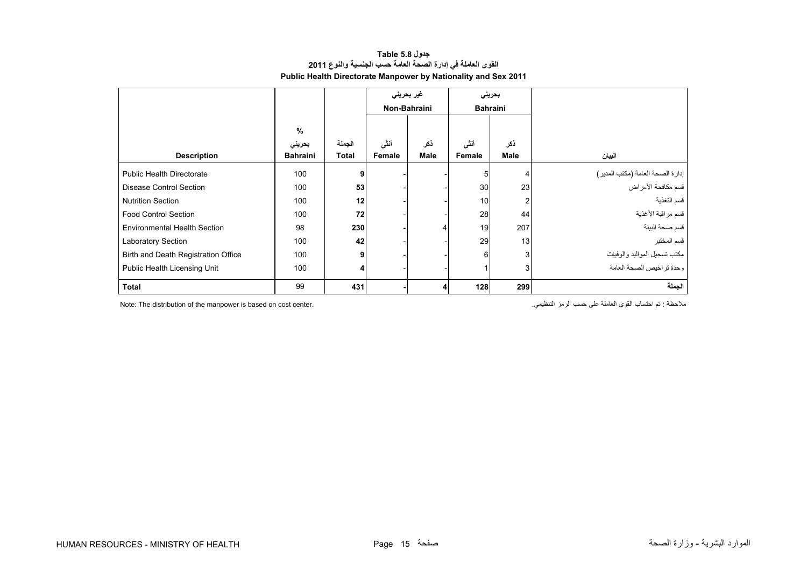| جدول Table 5.8                                                        |
|-----------------------------------------------------------------------|
| القوى العاملة في إدارة الصحة العامة حسب الجنسية والنوع 2011           |
| <b>Public Health Directorate Manpower by Nationality and Sex 2011</b> |

<span id="page-13-0"></span>

|                                     |                 |              | غیر بحرینی<br>بحريني |              |                 |                |                                                        |
|-------------------------------------|-----------------|--------------|----------------------|--------------|-----------------|----------------|--------------------------------------------------------|
|                                     |                 |              |                      | Non-Bahraini | <b>Bahraini</b> |                |                                                        |
|                                     | %<br>بحريني     | الجملة       | أنشى                 | ذكر          | أنشى            | ذكر            |                                                        |
| <b>Description</b>                  | <b>Bahraini</b> | <b>Total</b> | Female               | <b>Male</b>  | Female          | <b>Male</b>    | البيان                                                 |
| <b>Public Health Directorate</b>    | 100             | 9            |                      |              | 5               | 4              |                                                        |
| Disease Control Section             | 100             | 53           |                      |              | 30              | 23             | إدارة الصحة العامة (مكتب المدير)<br>قسم مكافحة الأمراض |
| <b>Nutrition Section</b>            | 100             | 12           |                      |              | 10              | $\overline{2}$ | قسم التغذية                                            |
| <b>Food Control Section</b>         | 100             | 72           |                      |              | 28              | 44             | فسم مراقبة الأغذية                                     |
| <b>Environmental Health Section</b> | 98              | 230          |                      |              | 19              | 207            | قسم صحة البيئة                                         |
| Laboratory Section                  | 100             | 42           |                      |              | 29              | 13             | قسم المختبر                                            |
| Birth and Death Registration Office | 100             | 9            |                      |              | 6               | 3              | مكتب تسجيل المواليد والوفيات                           |
| Public Health Licensing Unit        | 100             | 4            |                      |              |                 | 3              | وحدة تراخيص الصحة العامة                               |
| Total                               | 99              | 431          |                      |              | 128             | 299            | الجملة                                                 |

Note: The distribution of the manpower is based on cost center. .التنظيمي الرمز حسب على العاملة القوى احتساب تم : مالحظة